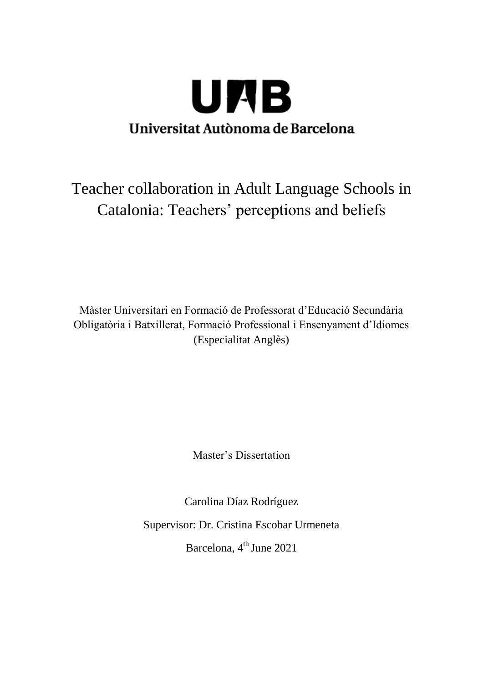

# Teacher collaboration in Adult Language Schools in Catalonia: Teachers' perceptions and beliefs

Màster Universitari en Formació de Professorat d'Educació Secundària Obligatòria i Batxillerat, Formació Professional i Ensenyament d'Idiomes (Especialitat Anglès)

Master's Dissertation

Carolina Díaz Rodríguez Supervisor: Dr. Cristina Escobar Urmeneta Barcelona, 4<sup>th</sup> June 2021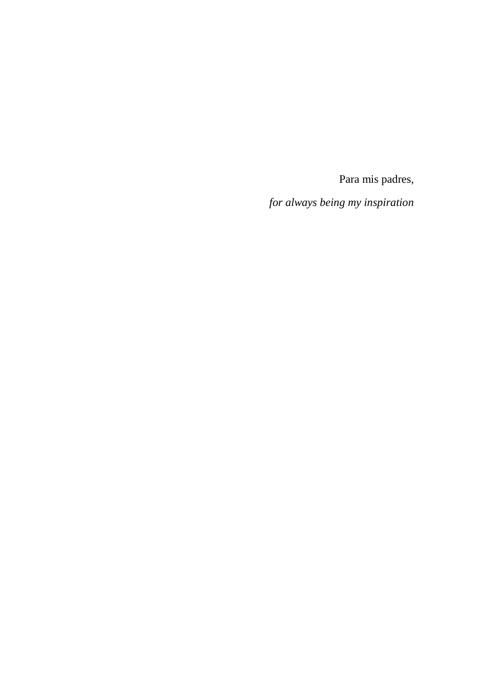Para mis padres,

*for always being my inspiration*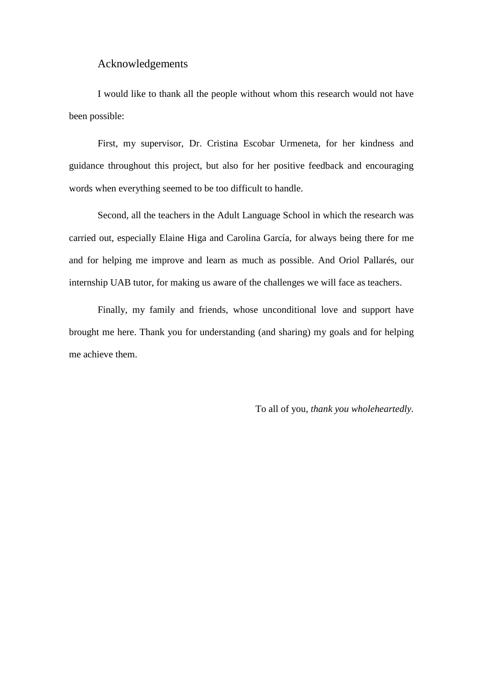# Acknowledgements

I would like to thank all the people without whom this research would not have been possible:

First, my supervisor, Dr. Cristina Escobar Urmeneta, for her kindness and guidance throughout this project, but also for her positive feedback and encouraging words when everything seemed to be too difficult to handle.

Second, all the teachers in the Adult Language School in which the research was carried out, especially Elaine Higa and Carolina García, for always being there for me and for helping me improve and learn as much as possible. And Oriol Pallarés, our internship UAB tutor, for making us aware of the challenges we will face as teachers.

Finally, my family and friends, whose unconditional love and support have brought me here. Thank you for understanding (and sharing) my goals and for helping me achieve them.

To all of you, *thank you wholeheartedly.*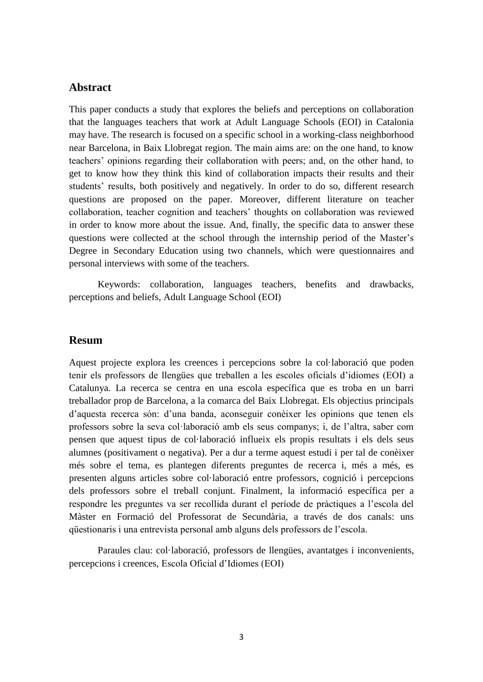# **Abstract**

This paper conducts a study that explores the beliefs and perceptions on collaboration that the languages teachers that work at Adult Language Schools (EOI) in Catalonia may have. The research is focused on a specific school in a working-class neighborhood near Barcelona, in Baix Llobregat region. The main aims are: on the one hand, to know teachers' opinions regarding their collaboration with peers; and, on the other hand, to get to know how they think this kind of collaboration impacts their results and their students' results, both positively and negatively. In order to do so, different research questions are proposed on the paper. Moreover, different literature on teacher collaboration, teacher cognition and teachers' thoughts on collaboration was reviewed in order to know more about the issue. And, finally, the specific data to answer these questions were collected at the school through the internship period of the Master's Degree in Secondary Education using two channels, which were questionnaires and personal interviews with some of the teachers.

Keywords: collaboration, languages teachers, benefits and drawbacks, perceptions and beliefs, Adult Language School (EOI)

# **Resum**

Aquest projecte explora les creences i percepcions sobre la col·laboració que poden tenir els professors de llengües que treballen a les escoles oficials d'idiomes (EOI) a Catalunya. La recerca se centra en una escola específica que es troba en un barri treballador prop de Barcelona, a la comarca del Baix Llobregat. Els objectius principals d'aquesta recerca són: d'una banda, aconseguir conèixer les opinions que tenen els professors sobre la seva col·laboració amb els seus companys; i, de l'altra, saber com pensen que aquest tipus de col·laboració influeix els propis resultats i els dels seus alumnes (positivament o negativa). Per a dur a terme aquest estudi i per tal de conèixer més sobre el tema, es plantegen diferents preguntes de recerca i, més a més, es presenten alguns articles sobre col·laboració entre professors, cognició i percepcions dels professors sobre el treball conjunt. Finalment, la informació específica per a respondre les preguntes va ser recollida durant el període de pràctiques a l'escola del Màster en Formació del Professorat de Secundària, a través de dos canals: uns qüestionaris i una entrevista personal amb alguns dels professors de l'escola.

Paraules clau: col·laboració, professors de llengües, avantatges i inconvenients, percepcions i creences, Escola Oficial d'Idiomes (EOI)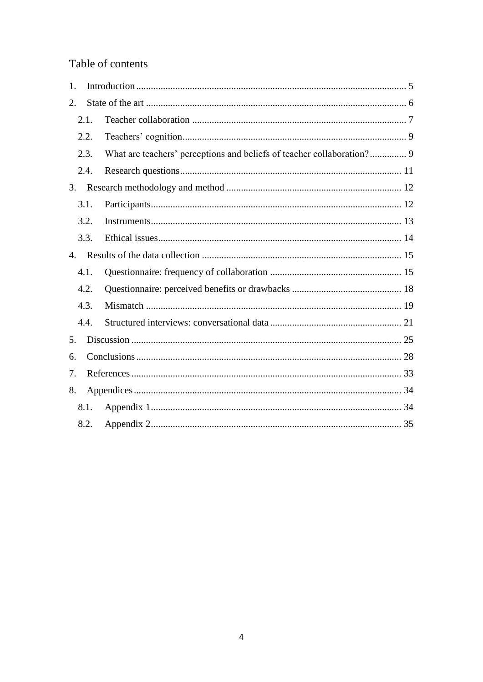# Table of contents

| 1.   |                                                                        |
|------|------------------------------------------------------------------------|
| 2.   |                                                                        |
| 2.1. |                                                                        |
| 2.2. |                                                                        |
| 2.3. | What are teachers' perceptions and beliefs of teacher collaboration? 9 |
| 2.4. |                                                                        |
| 3.   |                                                                        |
| 3.1. |                                                                        |
| 3.2. |                                                                        |
| 3.3. |                                                                        |
| 4.   |                                                                        |
| 4.1. |                                                                        |
| 4.2. |                                                                        |
| 4.3. |                                                                        |
| 4.4. |                                                                        |
| 5.   |                                                                        |
| 6.   |                                                                        |
| 7.   |                                                                        |
| 8.   |                                                                        |
| 8.1. |                                                                        |
| 8.2. |                                                                        |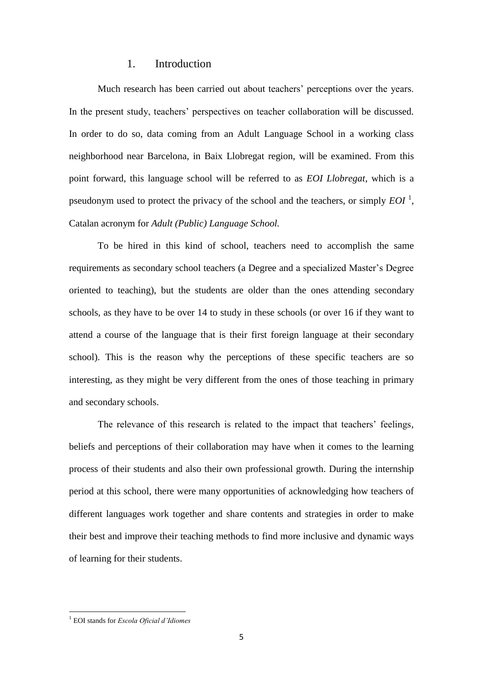# 1. Introduction

<span id="page-5-0"></span>Much research has been carried out about teachers' perceptions over the years. In the present study, teachers' perspectives on teacher collaboration will be discussed. In order to do so, data coming from an Adult Language School in a working class neighborhood near Barcelona, in Baix Llobregat region, will be examined. From this point forward, this language school will be referred to as *EOI Llobregat*, which is a pseudonym used to protect the privacy of the school and the teachers, or simply  $EOI<sup>1</sup>$ , Catalan acronym for *Adult (Public) Language School.*

To be hired in this kind of school, teachers need to accomplish the same requirements as secondary school teachers (a Degree and a specialized Master's Degree oriented to teaching), but the students are older than the ones attending secondary schools, as they have to be over 14 to study in these schools (or over 16 if they want to attend a course of the language that is their first foreign language at their secondary school). This is the reason why the perceptions of these specific teachers are so interesting, as they might be very different from the ones of those teaching in primary and secondary schools.

The relevance of this research is related to the impact that teachers' feelings, beliefs and perceptions of their collaboration may have when it comes to the learning process of their students and also their own professional growth. During the internship period at this school, there were many opportunities of acknowledging how teachers of different languages work together and share contents and strategies in order to make their best and improve their teaching methods to find more inclusive and dynamic ways of learning for their students.

**.** 

<sup>1</sup> EOI stands for *Escola Oficial d'Idiomes*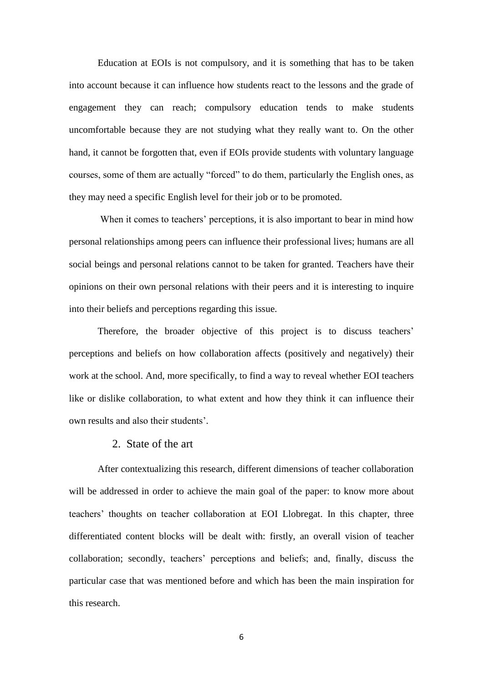Education at EOIs is not compulsory, and it is something that has to be taken into account because it can influence how students react to the lessons and the grade of engagement they can reach; compulsory education tends to make students uncomfortable because they are not studying what they really want to. On the other hand, it cannot be forgotten that, even if EOIs provide students with voluntary language courses, some of them are actually "forced" to do them, particularly the English ones, as they may need a specific English level for their job or to be promoted.

When it comes to teachers' perceptions, it is also important to bear in mind how personal relationships among peers can influence their professional lives; humans are all social beings and personal relations cannot to be taken for granted. Teachers have their opinions on their own personal relations with their peers and it is interesting to inquire into their beliefs and perceptions regarding this issue.

Therefore, the broader objective of this project is to discuss teachers' perceptions and beliefs on how collaboration affects (positively and negatively) their work at the school. And, more specifically, to find a way to reveal whether EOI teachers like or dislike collaboration, to what extent and how they think it can influence their own results and also their students'.

## 2. State of the art

<span id="page-6-0"></span>After contextualizing this research, different dimensions of teacher collaboration will be addressed in order to achieve the main goal of the paper: to know more about teachers' thoughts on teacher collaboration at EOI Llobregat. In this chapter, three differentiated content blocks will be dealt with: firstly, an overall vision of teacher collaboration; secondly, teachers' perceptions and beliefs; and, finally, discuss the particular case that was mentioned before and which has been the main inspiration for this research.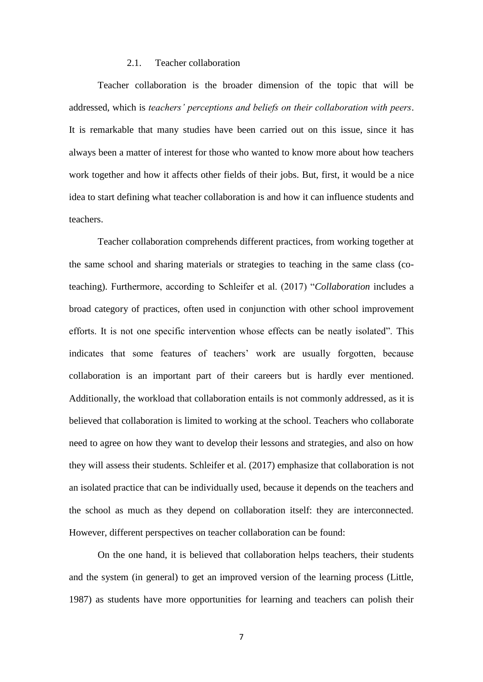## 2.1. Teacher collaboration

<span id="page-7-0"></span>Teacher collaboration is the broader dimension of the topic that will be addressed, which is *teachers' perceptions and beliefs on their collaboration with peers*. It is remarkable that many studies have been carried out on this issue, since it has always been a matter of interest for those who wanted to know more about how teachers work together and how it affects other fields of their jobs. But, first, it would be a nice idea to start defining what teacher collaboration is and how it can influence students and teachers.

Teacher collaboration comprehends different practices, from working together at the same school and sharing materials or strategies to teaching in the same class (coteaching). Furthermore, according to Schleifer et al. (2017) "*Collaboration* includes a broad category of practices, often used in conjunction with other school improvement efforts. It is not one specific intervention whose effects can be neatly isolated". This indicates that some features of teachers' work are usually forgotten, because collaboration is an important part of their careers but is hardly ever mentioned. Additionally, the workload that collaboration entails is not commonly addressed, as it is believed that collaboration is limited to working at the school. Teachers who collaborate need to agree on how they want to develop their lessons and strategies, and also on how they will assess their students. Schleifer et al. (2017) emphasize that collaboration is not an isolated practice that can be individually used, because it depends on the teachers and the school as much as they depend on collaboration itself: they are interconnected. However, different perspectives on teacher collaboration can be found:

On the one hand, it is believed that collaboration helps teachers, their students and the system (in general) to get an improved version of the learning process (Little, 1987) as students have more opportunities for learning and teachers can polish their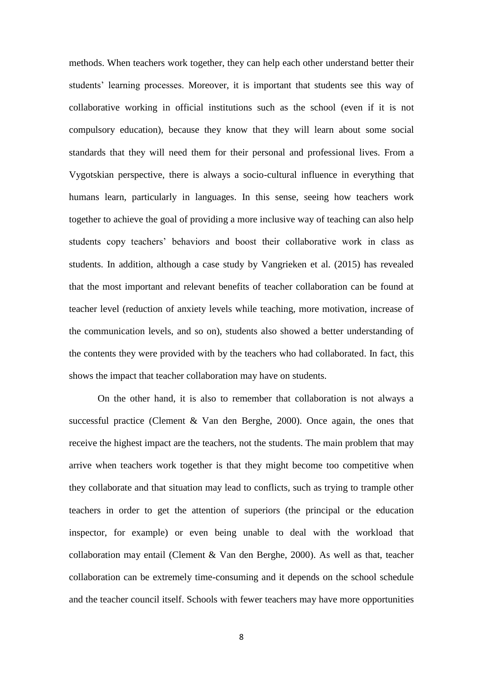methods. When teachers work together, they can help each other understand better their students' learning processes. Moreover, it is important that students see this way of collaborative working in official institutions such as the school (even if it is not compulsory education), because they know that they will learn about some social standards that they will need them for their personal and professional lives. From a Vygotskian perspective, there is always a socio-cultural influence in everything that humans learn, particularly in languages. In this sense, seeing how teachers work together to achieve the goal of providing a more inclusive way of teaching can also help students copy teachers' behaviors and boost their collaborative work in class as students. In addition, although a case study by Vangrieken et al. (2015) has revealed that the most important and relevant benefits of teacher collaboration can be found at teacher level (reduction of anxiety levels while teaching, more motivation, increase of the communication levels, and so on), students also showed a better understanding of the contents they were provided with by the teachers who had collaborated. In fact, this shows the impact that teacher collaboration may have on students.

On the other hand, it is also to remember that collaboration is not always a successful practice (Clement & Van den Berghe, 2000). Once again, the ones that receive the highest impact are the teachers, not the students. The main problem that may arrive when teachers work together is that they might become too competitive when they collaborate and that situation may lead to conflicts, such as trying to trample other teachers in order to get the attention of superiors (the principal or the education inspector, for example) or even being unable to deal with the workload that collaboration may entail (Clement & Van den Berghe, 2000). As well as that, teacher collaboration can be extremely time-consuming and it depends on the school schedule and the teacher council itself. Schools with fewer teachers may have more opportunities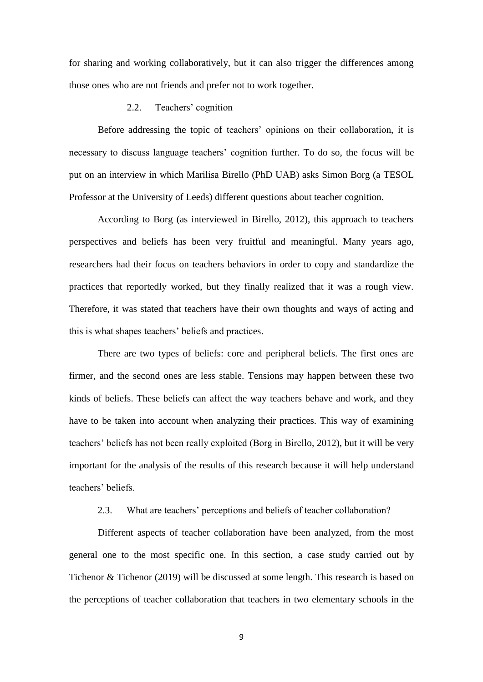for sharing and working collaboratively, but it can also trigger the differences among those ones who are not friends and prefer not to work together.

#### 2.2. Teachers' cognition

<span id="page-9-0"></span>Before addressing the topic of teachers' opinions on their collaboration, it is necessary to discuss language teachers' cognition further. To do so, the focus will be put on an interview in which Marilisa Birello (PhD UAB) asks Simon Borg (a TESOL Professor at the University of Leeds) different questions about teacher cognition.

According to Borg (as interviewed in Birello, 2012), this approach to teachers perspectives and beliefs has been very fruitful and meaningful. Many years ago, researchers had their focus on teachers behaviors in order to copy and standardize the practices that reportedly worked, but they finally realized that it was a rough view. Therefore, it was stated that teachers have their own thoughts and ways of acting and this is what shapes teachers' beliefs and practices.

There are two types of beliefs: core and peripheral beliefs. The first ones are firmer, and the second ones are less stable. Tensions may happen between these two kinds of beliefs. These beliefs can affect the way teachers behave and work, and they have to be taken into account when analyzing their practices. This way of examining teachers' beliefs has not been really exploited (Borg in Birello, 2012), but it will be very important for the analysis of the results of this research because it will help understand teachers' beliefs.

#### 2.3. What are teachers' perceptions and beliefs of teacher collaboration?

<span id="page-9-1"></span>Different aspects of teacher collaboration have been analyzed, from the most general one to the most specific one. In this section, a case study carried out by Tichenor & Tichenor (2019) will be discussed at some length. This research is based on the perceptions of teacher collaboration that teachers in two elementary schools in the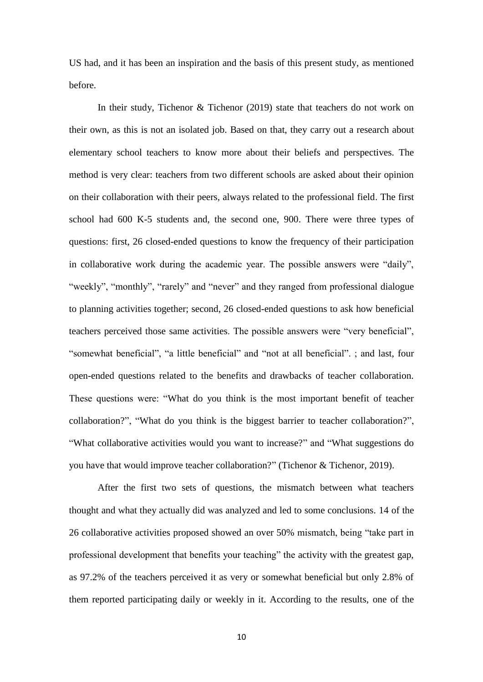US had, and it has been an inspiration and the basis of this present study, as mentioned before.

In their study, Tichenor & Tichenor (2019) state that teachers do not work on their own, as this is not an isolated job. Based on that, they carry out a research about elementary school teachers to know more about their beliefs and perspectives. The method is very clear: teachers from two different schools are asked about their opinion on their collaboration with their peers, always related to the professional field. The first school had 600 K-5 students and, the second one, 900. There were three types of questions: first, 26 closed-ended questions to know the frequency of their participation in collaborative work during the academic year. The possible answers were "daily", "weekly", "monthly", "rarely" and "never" and they ranged from professional dialogue to planning activities together; second, 26 closed-ended questions to ask how beneficial teachers perceived those same activities. The possible answers were "very beneficial", "somewhat beneficial", "a little beneficial" and "not at all beneficial". ; and last, four open-ended questions related to the benefits and drawbacks of teacher collaboration. These questions were: "What do you think is the most important benefit of teacher collaboration?", "What do you think is the biggest barrier to teacher collaboration?", "What collaborative activities would you want to increase?" and "What suggestions do you have that would improve teacher collaboration?" (Tichenor & Tichenor, 2019).

After the first two sets of questions, the mismatch between what teachers thought and what they actually did was analyzed and led to some conclusions. 14 of the 26 collaborative activities proposed showed an over 50% mismatch, being "take part in professional development that benefits your teaching" the activity with the greatest gap, as 97.2% of the teachers perceived it as very or somewhat beneficial but only 2.8% of them reported participating daily or weekly in it. According to the results, one of the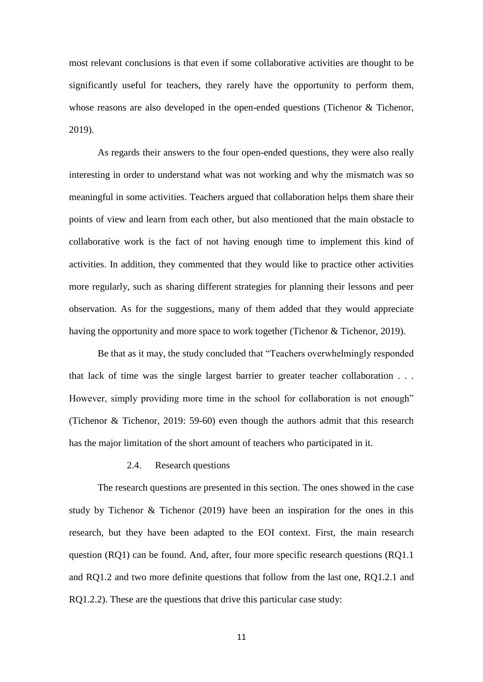most relevant conclusions is that even if some collaborative activities are thought to be significantly useful for teachers, they rarely have the opportunity to perform them, whose reasons are also developed in the open-ended questions (Tichenor & Tichenor, 2019).

As regards their answers to the four open-ended questions, they were also really interesting in order to understand what was not working and why the mismatch was so meaningful in some activities. Teachers argued that collaboration helps them share their points of view and learn from each other, but also mentioned that the main obstacle to collaborative work is the fact of not having enough time to implement this kind of activities. In addition, they commented that they would like to practice other activities more regularly, such as sharing different strategies for planning their lessons and peer observation. As for the suggestions, many of them added that they would appreciate having the opportunity and more space to work together (Tichenor & Tichenor, 2019).

Be that as it may, the study concluded that "Teachers overwhelmingly responded that lack of time was the single largest barrier to greater teacher collaboration . . . However, simply providing more time in the school for collaboration is not enough" (Tichenor & Tichenor, 2019: 59-60) even though the authors admit that this research has the major limitation of the short amount of teachers who participated in it.

#### 2.4. Research questions

<span id="page-11-0"></span>The research questions are presented in this section. The ones showed in the case study by Tichenor & Tichenor (2019) have been an inspiration for the ones in this research, but they have been adapted to the EOI context. First, the main research question (RQ1) can be found. And, after, four more specific research questions (RQ1.1 and RQ1.2 and two more definite questions that follow from the last one, RQ1.2.1 and RQ1.2.2). These are the questions that drive this particular case study: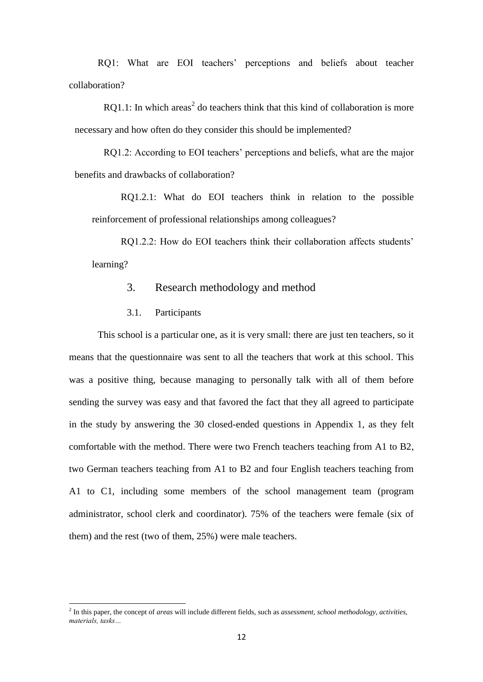RQ1: What are EOI teachers' perceptions and beliefs about teacher collaboration?

RQ1.1: In which areas<sup>2</sup> do teachers think that this kind of collaboration is more necessary and how often do they consider this should be implemented?

RQ1.2: According to EOI teachers' perceptions and beliefs, what are the major benefits and drawbacks of collaboration?

RQ1.2.1: What do EOI teachers think in relation to the possible reinforcement of professional relationships among colleagues?

<span id="page-12-0"></span>RO1.2.2: How do EOI teachers think their collaboration affects students' learning?

# 3. Research methodology and method

3.1. Participants

1

<span id="page-12-1"></span>This school is a particular one, as it is very small: there are just ten teachers, so it means that the questionnaire was sent to all the teachers that work at this school. This was a positive thing, because managing to personally talk with all of them before sending the survey was easy and that favored the fact that they all agreed to participate in the study by answering the 30 closed-ended questions in Appendix 1, as they felt comfortable with the method. There were two French teachers teaching from A1 to B2, two German teachers teaching from A1 to B2 and four English teachers teaching from A1 to C1, including some members of the school management team (program administrator, school clerk and coordinator). 75% of the teachers were female (six of them) and the rest (two of them, 25%) were male teachers.

<sup>2</sup> In this paper, the concept of *areas* will include different fields, such as *assessment, school methodology, activities, materials, tasks…*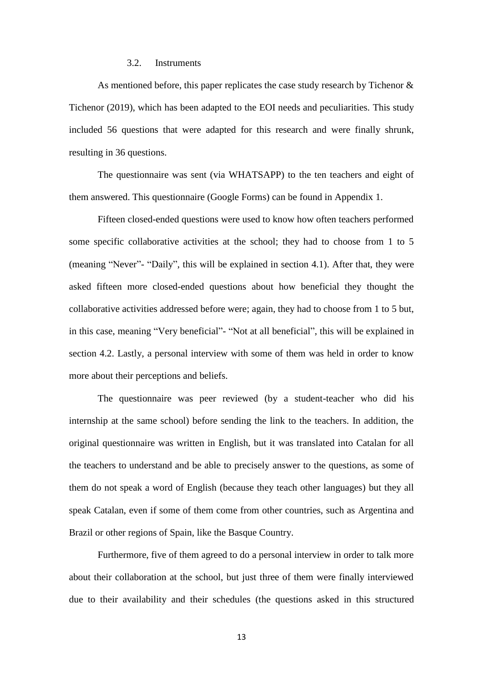## 3.2. Instruments

<span id="page-13-0"></span>As mentioned before, this paper replicates the case study research by Tichenor & Tichenor (2019), which has been adapted to the EOI needs and peculiarities. This study included 56 questions that were adapted for this research and were finally shrunk, resulting in 36 questions.

The questionnaire was sent (via WHATSAPP) to the ten teachers and eight of them answered. This questionnaire (Google Forms) can be found in Appendix 1.

Fifteen closed-ended questions were used to know how often teachers performed some specific collaborative activities at the school; they had to choose from 1 to 5 (meaning "Never"- "Daily", this will be explained in section 4.1). After that, they were asked fifteen more closed-ended questions about how beneficial they thought the collaborative activities addressed before were; again, they had to choose from 1 to 5 but, in this case, meaning "Very beneficial"- "Not at all beneficial", this will be explained in section 4.2. Lastly, a personal interview with some of them was held in order to know more about their perceptions and beliefs.

The questionnaire was peer reviewed (by a student-teacher who did his internship at the same school) before sending the link to the teachers. In addition, the original questionnaire was written in English, but it was translated into Catalan for all the teachers to understand and be able to precisely answer to the questions, as some of them do not speak a word of English (because they teach other languages) but they all speak Catalan, even if some of them come from other countries, such as Argentina and Brazil or other regions of Spain, like the Basque Country.

Furthermore, five of them agreed to do a personal interview in order to talk more about their collaboration at the school, but just three of them were finally interviewed due to their availability and their schedules (the questions asked in this structured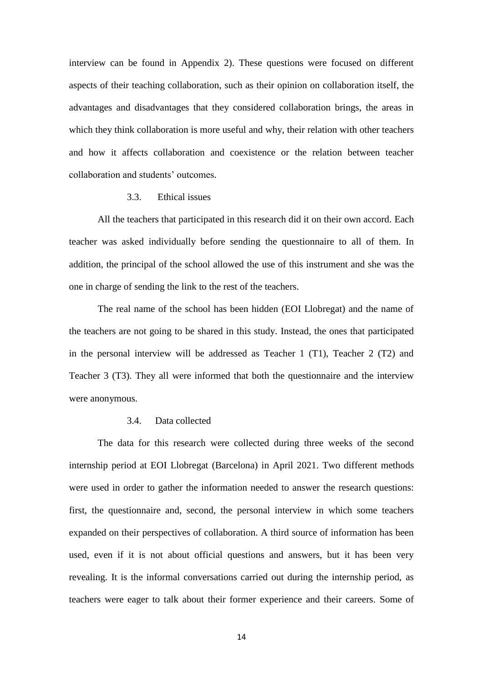interview can be found in Appendix 2). These questions were focused on different aspects of their teaching collaboration, such as their opinion on collaboration itself, the advantages and disadvantages that they considered collaboration brings, the areas in which they think collaboration is more useful and why, their relation with other teachers and how it affects collaboration and coexistence or the relation between teacher collaboration and students' outcomes.

#### <span id="page-14-0"></span>3.3. Ethical issues

All the teachers that participated in this research did it on their own accord. Each teacher was asked individually before sending the questionnaire to all of them. In addition, the principal of the school allowed the use of this instrument and she was the one in charge of sending the link to the rest of the teachers.

The real name of the school has been hidden (EOI Llobregat) and the name of the teachers are not going to be shared in this study. Instead, the ones that participated in the personal interview will be addressed as Teacher 1 (T1), Teacher 2 (T2) and Teacher 3 (T3). They all were informed that both the questionnaire and the interview were anonymous.

# 3.4. Data collected

The data for this research were collected during three weeks of the second internship period at EOI Llobregat (Barcelona) in April 2021. Two different methods were used in order to gather the information needed to answer the research questions: first, the questionnaire and, second, the personal interview in which some teachers expanded on their perspectives of collaboration. A third source of information has been used, even if it is not about official questions and answers, but it has been very revealing. It is the informal conversations carried out during the internship period, as teachers were eager to talk about their former experience and their careers. Some of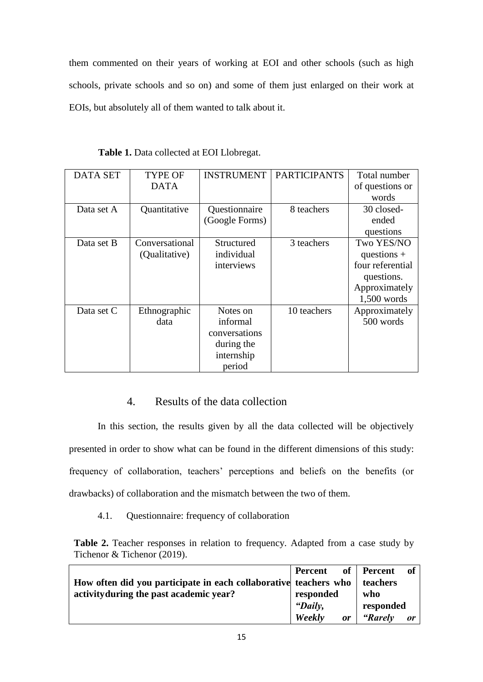them commented on their years of working at EOI and other schools (such as high schools, private schools and so on) and some of them just enlarged on their work at EOIs, but absolutely all of them wanted to talk about it.

| <b>DATA SET</b> | <b>TYPE OF</b> | <b>INSTRUMENT</b> | <b>PARTICIPANTS</b> | Total number     |
|-----------------|----------------|-------------------|---------------------|------------------|
|                 | <b>DATA</b>    |                   |                     | of questions or  |
|                 |                |                   |                     | words            |
| Data set A      | Quantitative   | Questionnaire     | 8 teachers          | 30 closed-       |
|                 |                | (Google Forms)    |                     | ended            |
|                 |                |                   |                     | questions        |
| Data set B      | Conversational | Structured        | 3 teachers          | Two YES/NO       |
|                 | (Qualitative)  | individual        |                     | questions $+$    |
|                 |                | interviews        |                     | four referential |
|                 |                |                   |                     | questions.       |
|                 |                |                   |                     | Approximately    |
|                 |                |                   |                     | $1,500$ words    |
| Data set C      | Ethnographic   | Notes on          | 10 teachers         | Approximately    |
|                 | data           | informal          |                     | 500 words        |
|                 |                | conversations     |                     |                  |
|                 |                | during the        |                     |                  |
|                 |                | internship        |                     |                  |
|                 |                | period            |                     |                  |

**Table 1.** Data collected at EOI Llobregat.

# 4. Results of the data collection

<span id="page-15-0"></span>In this section, the results given by all the data collected will be objectively presented in order to show what can be found in the different dimensions of this study: frequency of collaboration, teachers' perceptions and beliefs on the benefits (or drawbacks) of collaboration and the mismatch between the two of them.

4.1. Questionnaire: frequency of collaboration

<span id="page-15-1"></span>**Table 2.** Teacher responses in relation to frequency. Adapted from a case study by Tichenor & Tichenor (2019).

|                                                                  | Percent      | of Percent<br>- of   |
|------------------------------------------------------------------|--------------|----------------------|
| How often did you participate in each collaborative teachers who |              | teachers             |
| activity during the past academic year?                          | responded    | who                  |
|                                                                  | "Daily,      | responded            |
|                                                                  | Weekly<br>or | <i>"Rarely</i><br>or |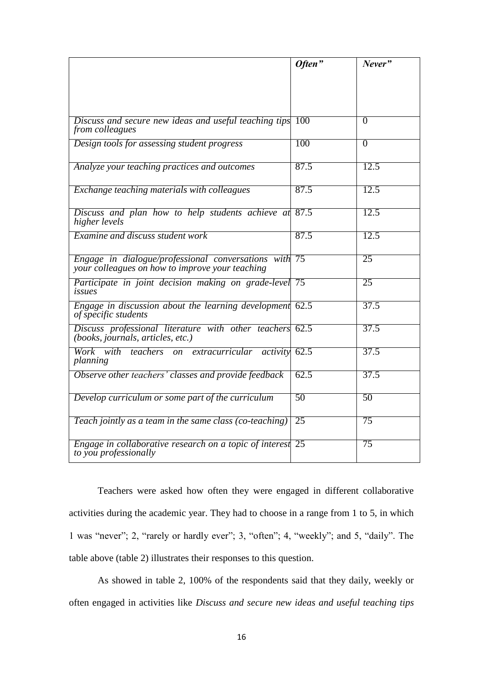|                                                                                                          | Often" | Never"         |
|----------------------------------------------------------------------------------------------------------|--------|----------------|
|                                                                                                          |        |                |
|                                                                                                          |        |                |
| Discuss and secure new ideas and useful teaching tips<br>from colleagues                                 | 100    | $\overline{0}$ |
| Design tools for assessing student progress                                                              | 100    | $\overline{0}$ |
| Analyze your teaching practices and outcomes                                                             | 87.5   | 12.5           |
| Exchange teaching materials with colleagues                                                              | 87.5   | 12.5           |
| Discuss and plan how to help students achieve at<br>higher levels                                        | 87.5   | 12.5           |
| <b>Examine and discuss student work</b>                                                                  | 87.5   | 12.5           |
| Engage in dialogue/professional conversations with 75<br>your colleagues on how to improve your teaching |        | 25             |
| Participate in joint decision making on grade-level 75<br>issues                                         |        | 25             |
| Engage in discussion about the learning development<br>of specific students                              | 62.5   | 37.5           |
| Discuss professional literature with other teachers 62.5<br>(books, journals, articles, etc.)            |        | 37.5           |
| Work with teachers on extracurricular activity<br>planning                                               | 62.5   | 37.5           |
| Observe other teachers' classes and provide feedback                                                     | 62.5   | 37.5           |
| Develop curriculum or some part of the curriculum                                                        | 50     | 50             |
| Teach jointly as a team in the same class (co-teaching)                                                  | 25     | 75             |
| Engage in collaborative research on a topic of interest<br>to you professionally                         | 25     | 75             |

Teachers were asked how often they were engaged in different collaborative activities during the academic year. They had to choose in a range from 1 to 5, in which 1 was "never"; 2, "rarely or hardly ever"; 3, "often"; 4, "weekly"; and 5, "daily". The table above (table 2) illustrates their responses to this question.

As showed in table 2, 100% of the respondents said that they daily, weekly or often engaged in activities like *Discuss and secure new ideas and useful teaching tips*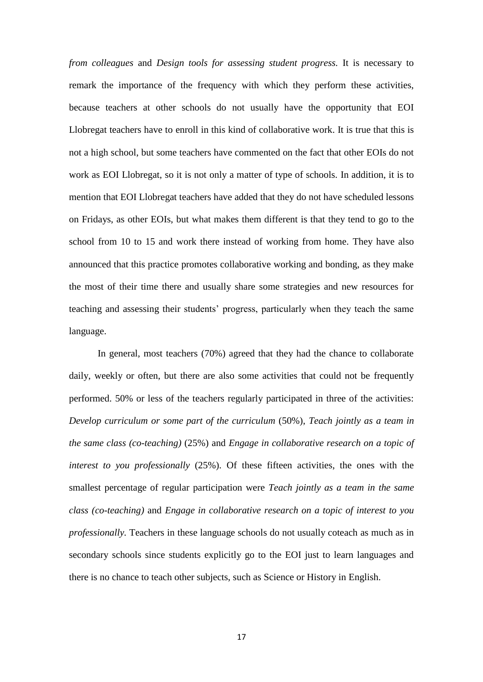*from colleagues* and *Design tools for assessing student progress.* It is necessary to remark the importance of the frequency with which they perform these activities, because teachers at other schools do not usually have the opportunity that EOI Llobregat teachers have to enroll in this kind of collaborative work. It is true that this is not a high school, but some teachers have commented on the fact that other EOIs do not work as EOI Llobregat, so it is not only a matter of type of schools. In addition, it is to mention that EOI Llobregat teachers have added that they do not have scheduled lessons on Fridays, as other EOIs, but what makes them different is that they tend to go to the school from 10 to 15 and work there instead of working from home. They have also announced that this practice promotes collaborative working and bonding, as they make the most of their time there and usually share some strategies and new resources for teaching and assessing their students' progress, particularly when they teach the same language.

In general, most teachers (70%) agreed that they had the chance to collaborate daily, weekly or often, but there are also some activities that could not be frequently performed. 50% or less of the teachers regularly participated in three of the activities: *Develop curriculum or some part of the curriculum* (50%), *Teach jointly as a team in the same class (co-teaching)* (25%) and *Engage in collaborative research on a topic of interest to you professionally* (25%). Of these fifteen activities, the ones with the smallest percentage of regular participation were *Teach jointly as a team in the same class (co-teaching)* and *Engage in collaborative research on a topic of interest to you professionally.* Teachers in these language schools do not usually coteach as much as in secondary schools since students explicitly go to the EOI just to learn languages and there is no chance to teach other subjects, such as Science or History in English.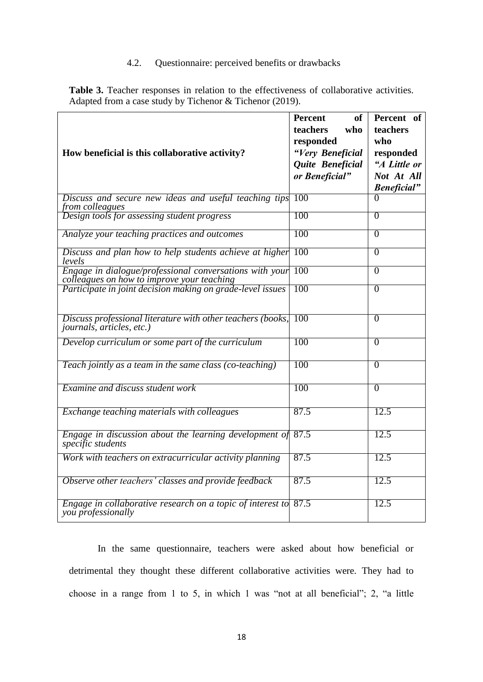# 4.2. Questionnaire: perceived benefits or drawbacks

<span id="page-18-0"></span>**Table 3.** Teacher responses in relation to the effectiveness of collaborative activities. Adapted from a case study by Tichenor & Tichenor (2019).

|                                                                                                          | <b>Percent</b><br><b>of</b><br>teachers<br>who | Percent of<br>teachers |
|----------------------------------------------------------------------------------------------------------|------------------------------------------------|------------------------|
|                                                                                                          | responded                                      | who                    |
| How beneficial is this collaborative activity?                                                           | "Very Beneficial                               | responded              |
|                                                                                                          | Quite Beneficial                               | "A Little or           |
|                                                                                                          | or Beneficial"                                 | Not At All             |
|                                                                                                          |                                                | <b>Beneficial</b> "    |
| Discuss and secure new ideas and useful teaching tips<br>from colleagues                                 | 100                                            |                        |
| Design tools for assessing student progress                                                              | 100                                            | $\overline{0}$         |
| Analyze your teaching practices and outcomes                                                             | 100                                            | $\overline{0}$         |
| Discuss and plan how to help students achieve at higher<br>levels                                        | 100                                            | $\Omega$               |
| Engage in dialogue/professional conversations with your                                                  | 100                                            | $\overline{0}$         |
| colleagues on how to improve your teaching<br>Participate in joint decision making on grade-level issues | 100                                            | $\overline{0}$         |
| Discuss professional literature with other teachers (books,<br><i>journals, articles, etc.)</i>          | 100                                            | $\overline{0}$         |
| Develop curriculum or some part of the curriculum                                                        | 100                                            | $\overline{0}$         |
| Teach jointly as a team in the same class (co-teaching)                                                  | 100                                            | $\overline{0}$         |
| Examine and discuss student work                                                                         | 100                                            | $\overline{0}$         |
| Exchange teaching materials with colleagues                                                              | 87.5                                           | 12.5                   |
| Engage in discussion about the learning development of<br>specific students                              | 87.5                                           | 12.5                   |
| Work with teachers on extracurricular activity planning                                                  | 87.5                                           | 12.5                   |
| Observe other teachers' classes and provide feedback                                                     | 87.5                                           | 12.5                   |
| Engage in collaborative research on a topic of interest to<br>you professionally                         | 87.5                                           | 12.5                   |

In the same questionnaire, teachers were asked about how beneficial or detrimental they thought these different collaborative activities were. They had to choose in a range from 1 to 5, in which 1 was "not at all beneficial"; 2, "a little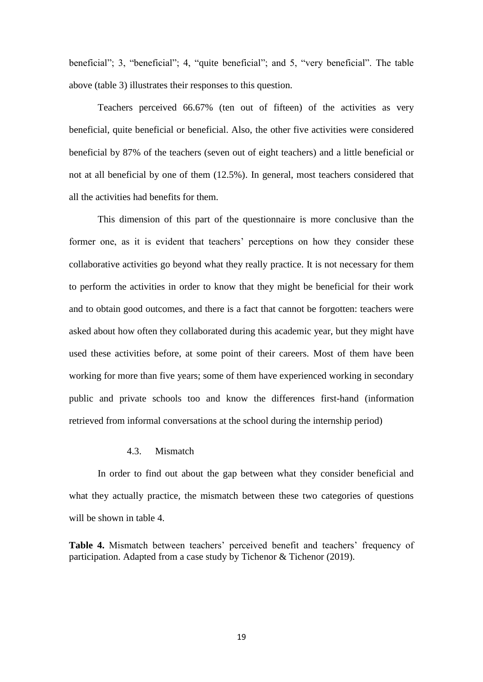beneficial"; 3, "beneficial"; 4, "quite beneficial"; and 5, "very beneficial". The table above (table 3) illustrates their responses to this question.

Teachers perceived 66.67% (ten out of fifteen) of the activities as very beneficial, quite beneficial or beneficial. Also, the other five activities were considered beneficial by 87% of the teachers (seven out of eight teachers) and a little beneficial or not at all beneficial by one of them (12.5%). In general, most teachers considered that all the activities had benefits for them.

This dimension of this part of the questionnaire is more conclusive than the former one, as it is evident that teachers' perceptions on how they consider these collaborative activities go beyond what they really practice. It is not necessary for them to perform the activities in order to know that they might be beneficial for their work and to obtain good outcomes, and there is a fact that cannot be forgotten: teachers were asked about how often they collaborated during this academic year, but they might have used these activities before, at some point of their careers. Most of them have been working for more than five years; some of them have experienced working in secondary public and private schools too and know the differences first-hand (information retrieved from informal conversations at the school during the internship period)

# 4.3. Mismatch

<span id="page-19-0"></span>In order to find out about the gap between what they consider beneficial and what they actually practice, the mismatch between these two categories of questions will be shown in table 4.

**Table 4.** Mismatch between teachers' perceived benefit and teachers' frequency of participation. Adapted from a case study by Tichenor & Tichenor (2019).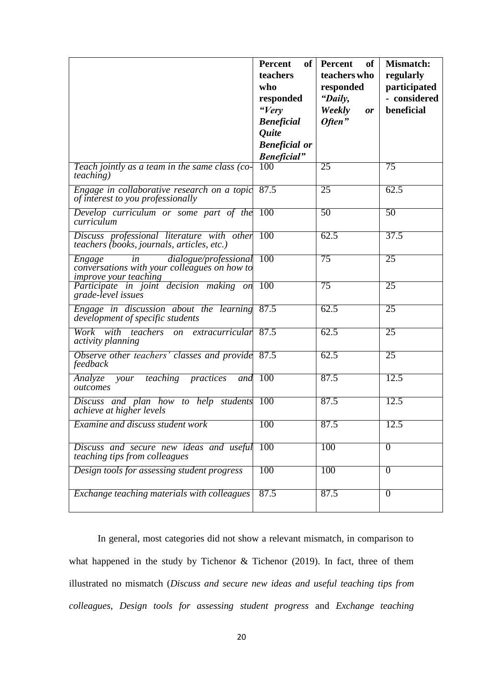|                                                                                                                              | <b>Percent</b><br>of <sub>1</sub><br>teachers<br>who<br>responded<br>"Very<br><b>Beneficial</b><br><i><b>Quite</b></i><br><b>Beneficial</b> or<br><b>Beneficial</b> " | Percent<br>of<br>teachers who<br>responded<br>"Daily,<br>Weekly<br>or<br>Often" | <b>Mismatch:</b><br>regularly<br>participated<br>- considered<br>beneficial |
|------------------------------------------------------------------------------------------------------------------------------|-----------------------------------------------------------------------------------------------------------------------------------------------------------------------|---------------------------------------------------------------------------------|-----------------------------------------------------------------------------|
| Teach jointly as a team in the same class (co-<br><i>teaching</i> )                                                          | 100                                                                                                                                                                   | 25                                                                              | 75                                                                          |
| Engage in collaborative research on a topic 87.5<br>of interest to you professionally                                        |                                                                                                                                                                       | 25                                                                              | 62.5                                                                        |
| Develop curriculum or some part of the<br>curriculum                                                                         | 100                                                                                                                                                                   | $\overline{50}$                                                                 | 50                                                                          |
| Discuss professional literature with other 100<br>teachers (books, journals, articles, etc.)                                 |                                                                                                                                                                       | 62.5                                                                            | 37.5                                                                        |
| dialogue/professional<br><i>Engage</i><br>in<br>conversations with your colleagues on how to<br><i>improve your teaching</i> | <b>100</b>                                                                                                                                                            | 75                                                                              | 25                                                                          |
| Participate in joint decision making on<br>grade-level issues                                                                | 100                                                                                                                                                                   | 75                                                                              | 25                                                                          |
| Engage in discussion about the learning 87.5<br>development of specific students                                             |                                                                                                                                                                       | 62.5                                                                            | 25                                                                          |
| Work with teachers<br>on extracurricular<br><i>activity planning</i>                                                         | 87.5                                                                                                                                                                  | 62.5                                                                            | 25                                                                          |
| Observe other teachers' classes and provide 87.5<br>feedback                                                                 |                                                                                                                                                                       | 62.5                                                                            | 25                                                                          |
| prac <i>tices</i><br>Analyze<br>teaching<br>your<br>and<br>outcomes                                                          | <b>100</b>                                                                                                                                                            | 87.5                                                                            | 12.5                                                                        |
| Discuss and plan how to help students 100<br>achieve at higher levels                                                        |                                                                                                                                                                       | 87.5                                                                            | 12.5                                                                        |
| Examine and discuss student work                                                                                             | 100                                                                                                                                                                   | 87.5                                                                            | 12.5                                                                        |
| Discuss and secure new ideas and useful<br>teaching tips from colleagues                                                     | 100                                                                                                                                                                   | 100                                                                             | $\Omega$                                                                    |
| Design tools for assessing student progress                                                                                  | 100                                                                                                                                                                   | 100                                                                             | $\Omega$                                                                    |
| Exchange teaching materials with colleagues                                                                                  | 87.5                                                                                                                                                                  | 87.5                                                                            | $\overline{0}$                                                              |

In general, most categories did not show a relevant mismatch, in comparison to what happened in the study by Tichenor & Tichenor (2019). In fact, three of them illustrated no mismatch (*Discuss and secure new ideas and useful teaching tips from colleagues*, *Design tools for assessing student progress* and *Exchange teaching*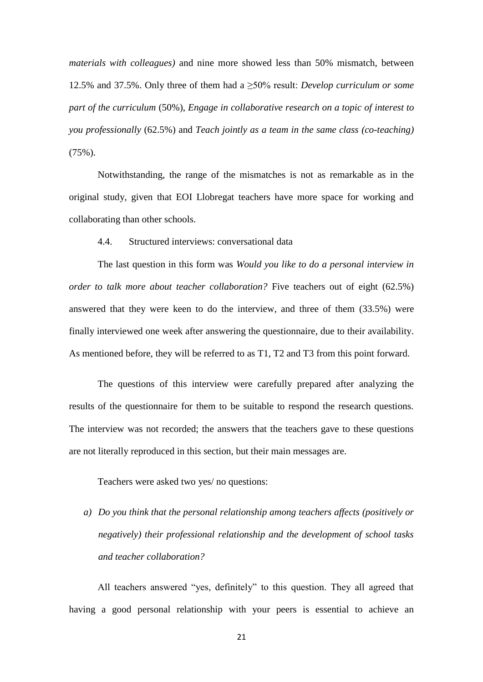*materials with colleagues)* and nine more showed less than 50% mismatch, between 12.5% and 37.5%. Only three of them had a ≥50% result: *Develop curriculum or some part of the curriculum* (50%), *Engage in collaborative research on a topic of interest to you professionally* (62.5%) and *Teach jointly as a team in the same class (co-teaching)*   $(75\%)$ .

Notwithstanding, the range of the mismatches is not as remarkable as in the original study, given that EOI Llobregat teachers have more space for working and collaborating than other schools.

<span id="page-21-0"></span>4.4. Structured interviews: conversational data

The last question in this form was *Would you like to do a personal interview in order to talk more about teacher collaboration?* Five teachers out of eight (62.5%) answered that they were keen to do the interview, and three of them (33.5%) were finally interviewed one week after answering the questionnaire, due to their availability. As mentioned before, they will be referred to as T1, T2 and T3 from this point forward.

The questions of this interview were carefully prepared after analyzing the results of the questionnaire for them to be suitable to respond the research questions. The interview was not recorded; the answers that the teachers gave to these questions are not literally reproduced in this section, but their main messages are.

Teachers were asked two yes/ no questions:

*a) Do you think that the personal relationship among teachers affects (positively or negatively) their professional relationship and the development of school tasks and teacher collaboration?*

All teachers answered "yes, definitely" to this question. They all agreed that having a good personal relationship with your peers is essential to achieve an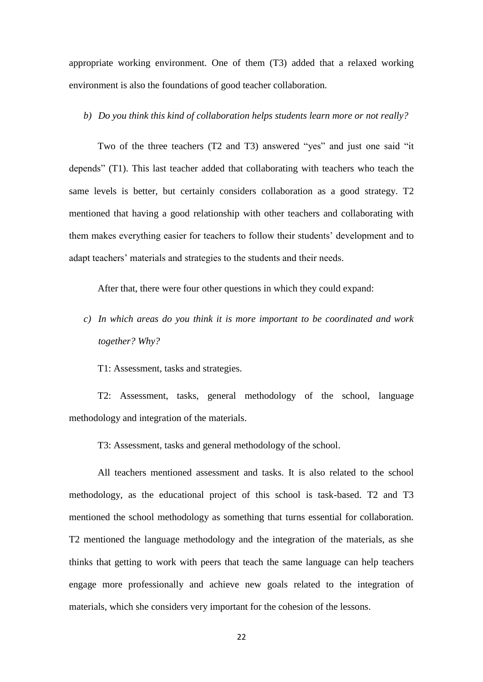appropriate working environment. One of them (T3) added that a relaxed working environment is also the foundations of good teacher collaboration.

#### *b) Do you think this kind of collaboration helps students learn more or not really?*

Two of the three teachers (T2 and T3) answered "yes" and just one said "it depends" (T1). This last teacher added that collaborating with teachers who teach the same levels is better, but certainly considers collaboration as a good strategy. T2 mentioned that having a good relationship with other teachers and collaborating with them makes everything easier for teachers to follow their students' development and to adapt teachers' materials and strategies to the students and their needs.

After that, there were four other questions in which they could expand:

*c) In which areas do you think it is more important to be coordinated and work together? Why?*

T1: Assessment, tasks and strategies.

T2: Assessment, tasks, general methodology of the school, language methodology and integration of the materials.

T3: Assessment, tasks and general methodology of the school.

All teachers mentioned assessment and tasks. It is also related to the school methodology, as the educational project of this school is task-based. T2 and T3 mentioned the school methodology as something that turns essential for collaboration. T2 mentioned the language methodology and the integration of the materials, as she thinks that getting to work with peers that teach the same language can help teachers engage more professionally and achieve new goals related to the integration of materials, which she considers very important for the cohesion of the lessons.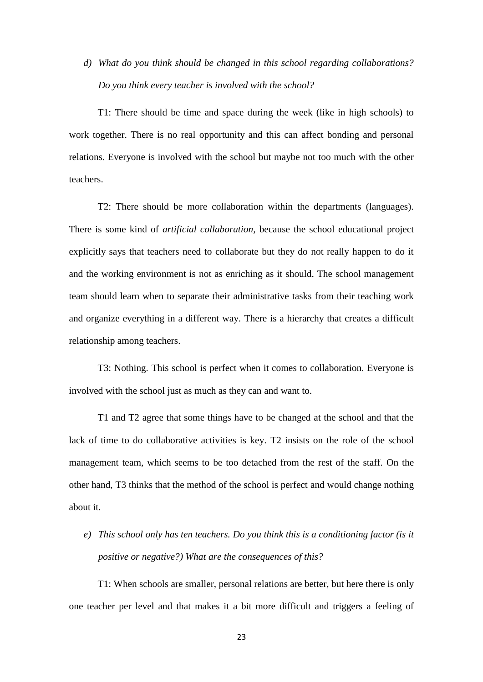*d) What do you think should be changed in this school regarding collaborations? Do you think every teacher is involved with the school?*

T1: There should be time and space during the week (like in high schools) to work together. There is no real opportunity and this can affect bonding and personal relations. Everyone is involved with the school but maybe not too much with the other teachers.

T2: There should be more collaboration within the departments (languages). There is some kind of *artificial collaboration,* because the school educational project explicitly says that teachers need to collaborate but they do not really happen to do it and the working environment is not as enriching as it should. The school management team should learn when to separate their administrative tasks from their teaching work and organize everything in a different way. There is a hierarchy that creates a difficult relationship among teachers.

T3: Nothing. This school is perfect when it comes to collaboration. Everyone is involved with the school just as much as they can and want to.

T1 and T2 agree that some things have to be changed at the school and that the lack of time to do collaborative activities is key. T2 insists on the role of the school management team, which seems to be too detached from the rest of the staff. On the other hand, T3 thinks that the method of the school is perfect and would change nothing about it.

*e) This school only has ten teachers. Do you think this is a conditioning factor (is it positive or negative?) What are the consequences of this?*

T1: When schools are smaller, personal relations are better, but here there is only one teacher per level and that makes it a bit more difficult and triggers a feeling of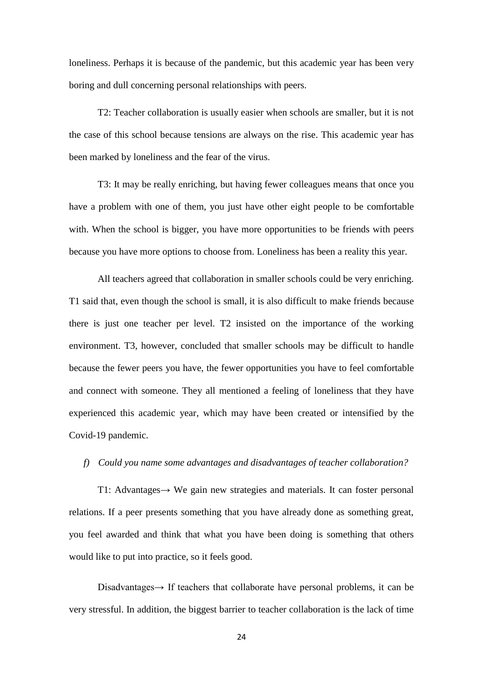loneliness. Perhaps it is because of the pandemic, but this academic year has been very boring and dull concerning personal relationships with peers.

T2: Teacher collaboration is usually easier when schools are smaller, but it is not the case of this school because tensions are always on the rise. This academic year has been marked by loneliness and the fear of the virus.

T3: It may be really enriching, but having fewer colleagues means that once you have a problem with one of them, you just have other eight people to be comfortable with. When the school is bigger, you have more opportunities to be friends with peers because you have more options to choose from. Loneliness has been a reality this year.

All teachers agreed that collaboration in smaller schools could be very enriching. T1 said that, even though the school is small, it is also difficult to make friends because there is just one teacher per level. T2 insisted on the importance of the working environment. T3, however, concluded that smaller schools may be difficult to handle because the fewer peers you have, the fewer opportunities you have to feel comfortable and connect with someone. They all mentioned a feeling of loneliness that they have experienced this academic year, which may have been created or intensified by the Covid-19 pandemic.

#### *f) Could you name some advantages and disadvantages of teacher collaboration?*

T1: Advantages→ We gain new strategies and materials. It can foster personal relations. If a peer presents something that you have already done as something great, you feel awarded and think that what you have been doing is something that others would like to put into practice, so it feels good.

Disadvantages→ If teachers that collaborate have personal problems, it can be very stressful. In addition, the biggest barrier to teacher collaboration is the lack of time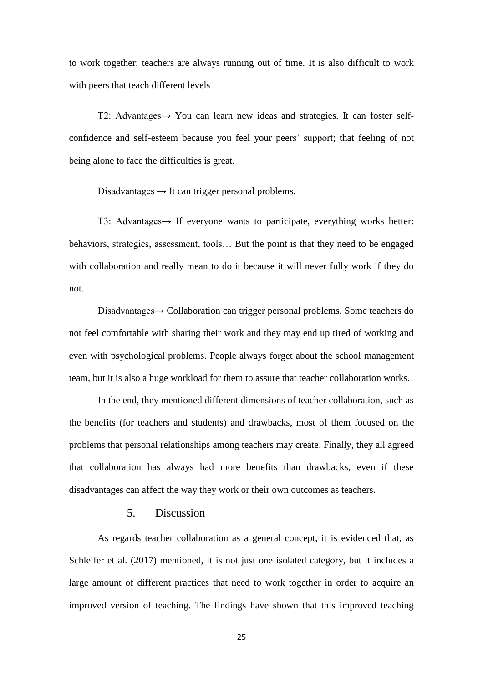to work together; teachers are always running out of time. It is also difficult to work with peers that teach different levels

T2: Advantages→ You can learn new ideas and strategies. It can foster selfconfidence and self-esteem because you feel your peers' support; that feeling of not being alone to face the difficulties is great.

Disadvantages  $\rightarrow$  It can trigger personal problems.

T3: Advantages→ If everyone wants to participate, everything works better: behaviors, strategies, assessment, tools… But the point is that they need to be engaged with collaboration and really mean to do it because it will never fully work if they do not.

Disadvantages→ Collaboration can trigger personal problems. Some teachers do not feel comfortable with sharing their work and they may end up tired of working and even with psychological problems. People always forget about the school management team, but it is also a huge workload for them to assure that teacher collaboration works.

In the end, they mentioned different dimensions of teacher collaboration, such as the benefits (for teachers and students) and drawbacks, most of them focused on the problems that personal relationships among teachers may create. Finally, they all agreed that collaboration has always had more benefits than drawbacks, even if these disadvantages can affect the way they work or their own outcomes as teachers.

# 5. Discussion

<span id="page-25-0"></span>As regards teacher collaboration as a general concept, it is evidenced that, as Schleifer et al. (2017) mentioned, it is not just one isolated category, but it includes a large amount of different practices that need to work together in order to acquire an improved version of teaching. The findings have shown that this improved teaching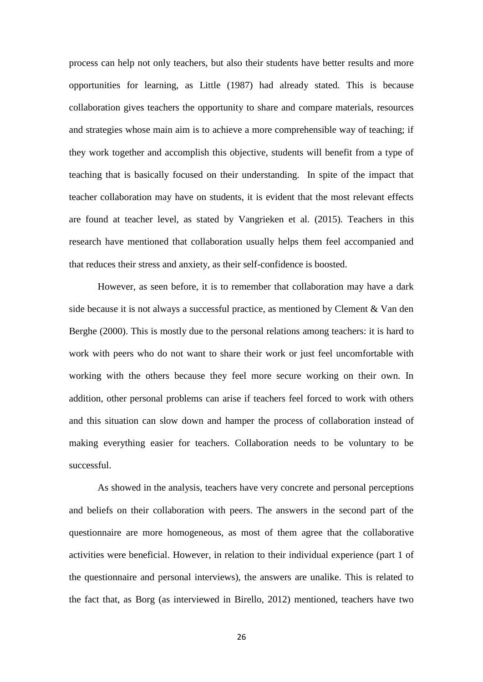process can help not only teachers, but also their students have better results and more opportunities for learning, as Little (1987) had already stated. This is because collaboration gives teachers the opportunity to share and compare materials, resources and strategies whose main aim is to achieve a more comprehensible way of teaching; if they work together and accomplish this objective, students will benefit from a type of teaching that is basically focused on their understanding. In spite of the impact that teacher collaboration may have on students, it is evident that the most relevant effects are found at teacher level, as stated by Vangrieken et al. (2015). Teachers in this research have mentioned that collaboration usually helps them feel accompanied and that reduces their stress and anxiety, as their self-confidence is boosted.

However, as seen before, it is to remember that collaboration may have a dark side because it is not always a successful practice, as mentioned by Clement  $& Van den$ Berghe (2000). This is mostly due to the personal relations among teachers: it is hard to work with peers who do not want to share their work or just feel uncomfortable with working with the others because they feel more secure working on their own. In addition, other personal problems can arise if teachers feel forced to work with others and this situation can slow down and hamper the process of collaboration instead of making everything easier for teachers. Collaboration needs to be voluntary to be successful.

As showed in the analysis, teachers have very concrete and personal perceptions and beliefs on their collaboration with peers. The answers in the second part of the questionnaire are more homogeneous, as most of them agree that the collaborative activities were beneficial. However, in relation to their individual experience (part 1 of the questionnaire and personal interviews), the answers are unalike. This is related to the fact that, as Borg (as interviewed in Birello, 2012) mentioned, teachers have two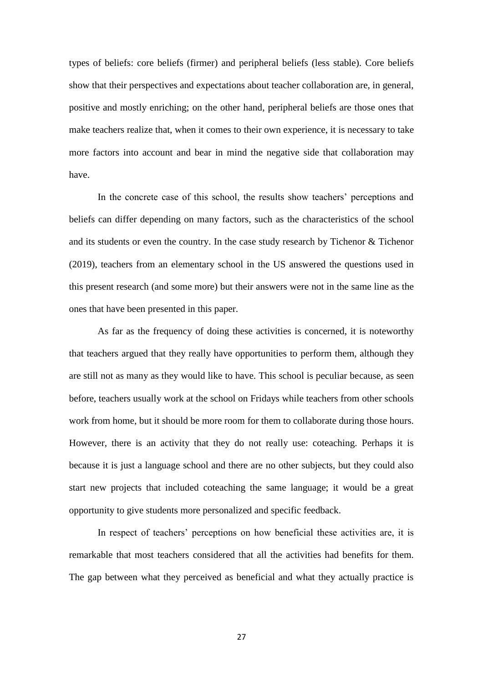types of beliefs: core beliefs (firmer) and peripheral beliefs (less stable). Core beliefs show that their perspectives and expectations about teacher collaboration are, in general, positive and mostly enriching; on the other hand, peripheral beliefs are those ones that make teachers realize that, when it comes to their own experience, it is necessary to take more factors into account and bear in mind the negative side that collaboration may have.

In the concrete case of this school, the results show teachers' perceptions and beliefs can differ depending on many factors, such as the characteristics of the school and its students or even the country. In the case study research by Tichenor & Tichenor (2019), teachers from an elementary school in the US answered the questions used in this present research (and some more) but their answers were not in the same line as the ones that have been presented in this paper.

As far as the frequency of doing these activities is concerned, it is noteworthy that teachers argued that they really have opportunities to perform them, although they are still not as many as they would like to have. This school is peculiar because, as seen before, teachers usually work at the school on Fridays while teachers from other schools work from home, but it should be more room for them to collaborate during those hours. However, there is an activity that they do not really use: coteaching. Perhaps it is because it is just a language school and there are no other subjects, but they could also start new projects that included coteaching the same language; it would be a great opportunity to give students more personalized and specific feedback.

In respect of teachers' perceptions on how beneficial these activities are, it is remarkable that most teachers considered that all the activities had benefits for them. The gap between what they perceived as beneficial and what they actually practice is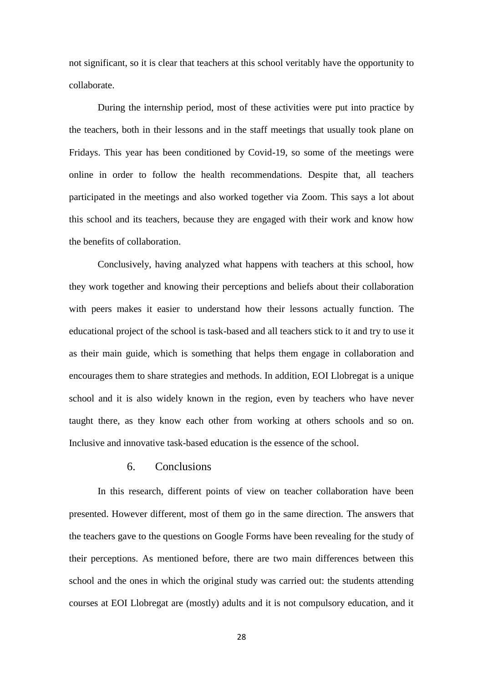not significant, so it is clear that teachers at this school veritably have the opportunity to collaborate.

During the internship period, most of these activities were put into practice by the teachers, both in their lessons and in the staff meetings that usually took plane on Fridays. This year has been conditioned by Covid-19, so some of the meetings were online in order to follow the health recommendations. Despite that, all teachers participated in the meetings and also worked together via Zoom. This says a lot about this school and its teachers, because they are engaged with their work and know how the benefits of collaboration.

Conclusively, having analyzed what happens with teachers at this school, how they work together and knowing their perceptions and beliefs about their collaboration with peers makes it easier to understand how their lessons actually function. The educational project of the school is task-based and all teachers stick to it and try to use it as their main guide, which is something that helps them engage in collaboration and encourages them to share strategies and methods. In addition, EOI Llobregat is a unique school and it is also widely known in the region, even by teachers who have never taught there, as they know each other from working at others schools and so on. Inclusive and innovative task-based education is the essence of the school.

#### 6. Conclusions

<span id="page-28-0"></span>In this research, different points of view on teacher collaboration have been presented. However different, most of them go in the same direction. The answers that the teachers gave to the questions on Google Forms have been revealing for the study of their perceptions. As mentioned before, there are two main differences between this school and the ones in which the original study was carried out: the students attending courses at EOI Llobregat are (mostly) adults and it is not compulsory education, and it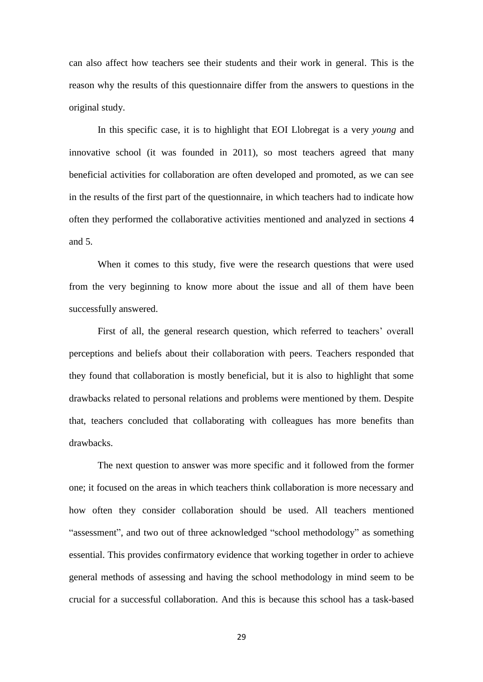can also affect how teachers see their students and their work in general. This is the reason why the results of this questionnaire differ from the answers to questions in the original study.

In this specific case, it is to highlight that EOI Llobregat is a very *young* and innovative school (it was founded in 2011), so most teachers agreed that many beneficial activities for collaboration are often developed and promoted, as we can see in the results of the first part of the questionnaire, in which teachers had to indicate how often they performed the collaborative activities mentioned and analyzed in sections 4 and 5.

When it comes to this study, five were the research questions that were used from the very beginning to know more about the issue and all of them have been successfully answered.

First of all, the general research question, which referred to teachers' overall perceptions and beliefs about their collaboration with peers. Teachers responded that they found that collaboration is mostly beneficial, but it is also to highlight that some drawbacks related to personal relations and problems were mentioned by them. Despite that, teachers concluded that collaborating with colleagues has more benefits than drawbacks.

The next question to answer was more specific and it followed from the former one; it focused on the areas in which teachers think collaboration is more necessary and how often they consider collaboration should be used. All teachers mentioned "assessment", and two out of three acknowledged "school methodology" as something essential. This provides confirmatory evidence that working together in order to achieve general methods of assessing and having the school methodology in mind seem to be crucial for a successful collaboration. And this is because this school has a task-based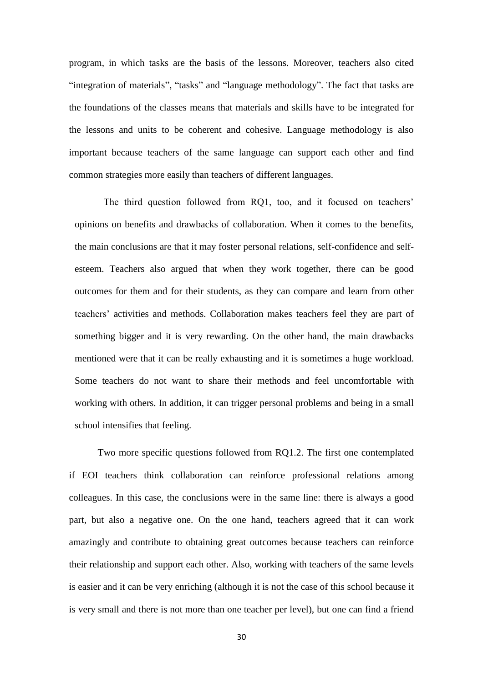program, in which tasks are the basis of the lessons. Moreover, teachers also cited "integration of materials", "tasks" and "language methodology". The fact that tasks are the foundations of the classes means that materials and skills have to be integrated for the lessons and units to be coherent and cohesive. Language methodology is also important because teachers of the same language can support each other and find common strategies more easily than teachers of different languages.

The third question followed from RQ1, too, and it focused on teachers' opinions on benefits and drawbacks of collaboration. When it comes to the benefits, the main conclusions are that it may foster personal relations, self-confidence and selfesteem. Teachers also argued that when they work together, there can be good outcomes for them and for their students, as they can compare and learn from other teachers' activities and methods. Collaboration makes teachers feel they are part of something bigger and it is very rewarding. On the other hand, the main drawbacks mentioned were that it can be really exhausting and it is sometimes a huge workload. Some teachers do not want to share their methods and feel uncomfortable with working with others. In addition, it can trigger personal problems and being in a small school intensifies that feeling.

Two more specific questions followed from RQ1.2. The first one contemplated if EOI teachers think collaboration can reinforce professional relations among colleagues. In this case, the conclusions were in the same line: there is always a good part, but also a negative one. On the one hand, teachers agreed that it can work amazingly and contribute to obtaining great outcomes because teachers can reinforce their relationship and support each other. Also, working with teachers of the same levels is easier and it can be very enriching (although it is not the case of this school because it is very small and there is not more than one teacher per level), but one can find a friend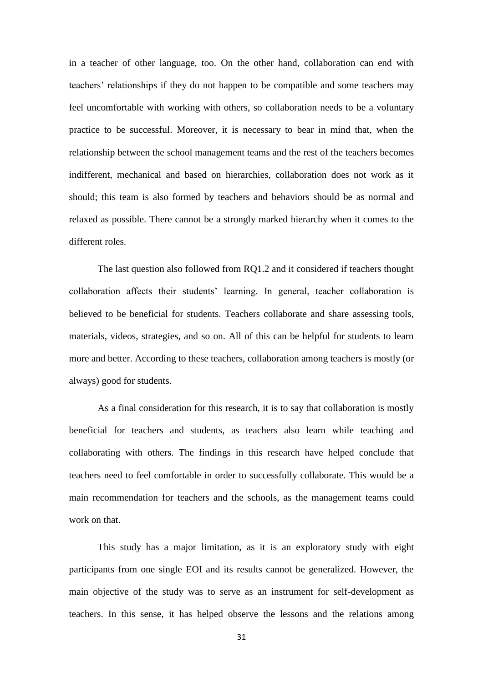in a teacher of other language, too. On the other hand, collaboration can end with teachers' relationships if they do not happen to be compatible and some teachers may feel uncomfortable with working with others, so collaboration needs to be a voluntary practice to be successful. Moreover, it is necessary to bear in mind that, when the relationship between the school management teams and the rest of the teachers becomes indifferent, mechanical and based on hierarchies, collaboration does not work as it should; this team is also formed by teachers and behaviors should be as normal and relaxed as possible. There cannot be a strongly marked hierarchy when it comes to the different roles.

The last question also followed from RQ1.2 and it considered if teachers thought collaboration affects their students' learning. In general, teacher collaboration is believed to be beneficial for students. Teachers collaborate and share assessing tools, materials, videos, strategies, and so on. All of this can be helpful for students to learn more and better. According to these teachers, collaboration among teachers is mostly (or always) good for students.

As a final consideration for this research, it is to say that collaboration is mostly beneficial for teachers and students, as teachers also learn while teaching and collaborating with others. The findings in this research have helped conclude that teachers need to feel comfortable in order to successfully collaborate. This would be a main recommendation for teachers and the schools, as the management teams could work on that.

This study has a major limitation, as it is an exploratory study with eight participants from one single EOI and its results cannot be generalized. However, the main objective of the study was to serve as an instrument for self-development as teachers. In this sense, it has helped observe the lessons and the relations among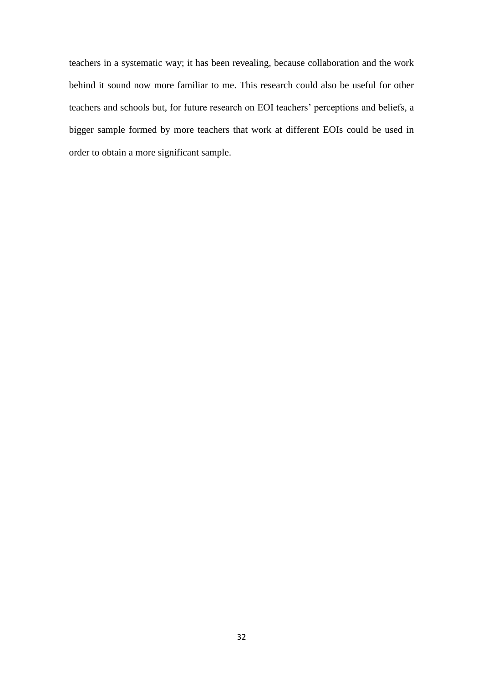teachers in a systematic way; it has been revealing, because collaboration and the work behind it sound now more familiar to me. This research could also be useful for other teachers and schools but, for future research on EOI teachers' perceptions and beliefs, a bigger sample formed by more teachers that work at different EOIs could be used in order to obtain a more significant sample.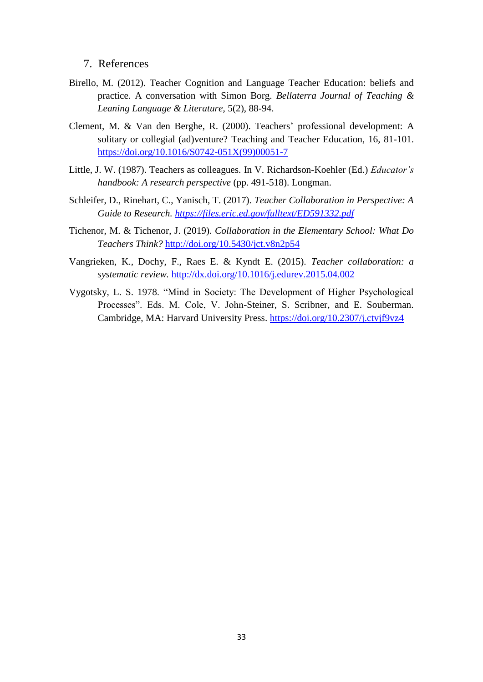# <span id="page-33-0"></span>7. References

- Birello, M. (2012). Teacher Cognition and Language Teacher Education: beliefs and practice. A conversation with Simon Borg. *Bellaterra Journal of Teaching & Leaning Language & Literature*, 5(2), 88-94.
- Clement, M. & Van den Berghe, R. (2000). Teachers' professional development: A solitary or collegial (ad)venture? Teaching and Teacher Education, 16, 81-101. [https://doi.org/10.1016/S0742-051X\(99\)00051-7](https://doi.org/10.1016/S0742-051X(99)00051-7)
- Little, J. W. (1987). Teachers as colleagues. In V. Richardson-Koehler (Ed.) *Educator's handbook: A research perspective* (pp. 491-518). Longman.
- Schleifer, D., Rinehart, C., Yanisch, T. (2017). *Teacher Collaboration in Perspective: A Guide to Research.<https://files.eric.ed.gov/fulltext/ED591332.pdf>*
- Tichenor, M. & Tichenor, J. (2019). *Collaboration in the Elementary School: What Do Teachers Think?* <http://doi.org/10.5430/jct.v8n2p54>
- Vangrieken, K., Dochy, F., Raes E. & Kyndt E. (2015). *Teacher collaboration: a systematic review.* <http://dx.doi.org/10.1016/j.edurev.2015.04.002>
- Vygotsky, L. S. 1978. "Mind in Society: The Development of Higher Psychological Processes". Eds. M. Cole, V. John-Steiner, S. Scribner, and E. Souberman. Cambridge, MA: Harvard University Press. <https://doi.org/10.2307/j.ctvjf9vz4>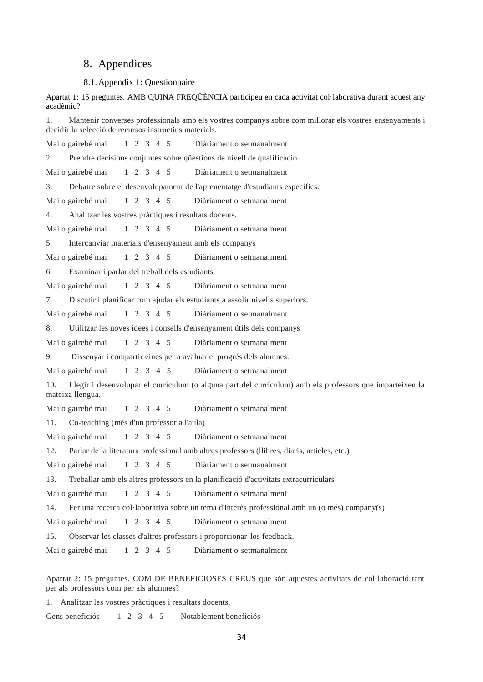#### <span id="page-34-0"></span>8. Appendices

#### <span id="page-34-1"></span>8.1.Appendix 1: Questionnaire

Apartat 1: 15 preguntes. AMB QUINA FREQÜÈNCIA participeu en cada activitat col·laborativa durant aquest any acadèmic?

1. Mantenir converses professionals amb els vostres companys sobre com millorar els vostres ensenyaments i decidir la selecció de recursos instructius materials.

Mai o gairebé mai 1 2 3 4 5 Diàriament o setmanalment

2. Prendre decisions conjuntes sobre qüestions de nivell de qualificació.

Mai o gairebé mai 1 2 3 4 5 Diàriament o setmanalment

3. Debatre sobre el desenvolupament de l'aprenentatge d'estudiants específics.

Mai o gairebé mai 1 2 3 4 5 Diàriament o setmanalment

4. Analitzar les vostres pràctiques i resultats docents.

Mai o gairebé mai 1 2 3 4 5 Diàriament o setmanalment

5. Intercanviar materials d'ensenyament amb els companys

Mai o gairebé mai 1 2 3 4 5 Diàriament o setmanalment

6. Examinar i parlar del treball dels estudiants

Mai o gairebé mai 1 2 3 4 5 Diàriament o setmanalment

7. Discutir i planificar com ajudar els estudiants a assolir nivells superiors.

Mai o gairebé mai 1 2 3 4 5 Diàriament o setmanalment

8. Utilitzar les noves idees i consells d'ensenyament útils dels companys

Mai o gairebé mai 1 2 3 4 5 Diàriament o setmanalment

9. Dissenyar i compartir eines per a avaluar el progrés dels alumnes.

Mai o gairebé mai 1 2 3 4 5 Diàriament o setmanalment

10. Llegir i desenvolupar el currículum (o alguna part del currículum) amb els professors que imparteixen la mateixa llengua.

Mai o gairebé mai 1 2 3 4 5 Diàriament o setmanalment

11. Co-teaching (més d'un professor a l'aula)

Mai o gairebé mai 1 2 3 4 5 Diàriament o setmanalment

12. Parlar de la literatura professional amb altres professors (llibres, diaris, articles, etc.)

Mai o gairebé mai 1 2 3 4 5 Diàriament o setmanalment

13. Treballar amb els altres professors en la planificació d'activitats extracurriculars

Mai o gairebé mai 1 2 3 4 5 Diàriament o setmanalment

14. Fer una recerca col·laborativa sobre un tema d'interès professional amb un (o més) company(s)

Mai o gairebé mai 1 2 3 4 5 Diàriament o setmanalment

15. Observar les classes d'altres professors i proporcionar-los feedback.

Mai o gairebé mai 1 2 3 4 5 Diàriament o setmanalment

Apartat 2: 15 preguntes. COM DE BENEFICIOSES CREUS que són aquestes activitats de col·laboració tant per als professors com per als alumnes?

1. Analitzar les vostres pràctiques i resultats docents.

Gens beneficiós 1 2 3 4 5 Notablement beneficiós